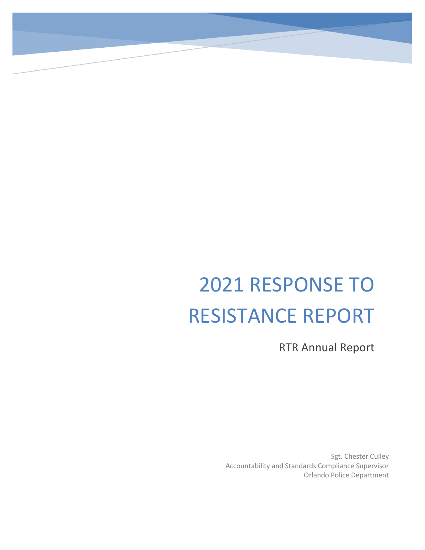# 2021 RESPONSE TO RESISTANCE REPORT

RTR Annual Report

Sgt. Chester Culley Accountability and Standards Compliance Supervisor Orlando Police Department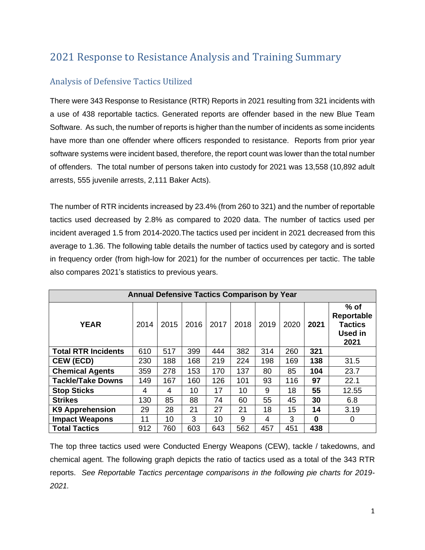## 2021 Response to Resistance Analysis and Training Summary

## Analysis of Defensive Tactics Utilized

There were 343 Response to Resistance (RTR) Reports in 2021 resulting from 321 incidents with a use of 438 reportable tactics. Generated reports are offender based in the new Blue Team Software. As such, the number of reports is higher than the number of incidents as some incidents have more than one offender where officers responded to resistance. Reports from prior year software systems were incident based, therefore, the report count was lower than the total number of offenders. The total number of persons taken into custody for 2021 was 13,558 (10,892 adult arrests, 555 juvenile arrests, 2,111 Baker Acts).

The number of RTR incidents increased by 23.4% (from 260 to 321) and the number of reportable tactics used decreased by 2.8% as compared to 2020 data. The number of tactics used per incident averaged 1.5 from 2014-2020.The tactics used per incident in 2021 decreased from this average to 1.36. The following table details the number of tactics used by category and is sorted in frequency order (from high-low for 2021) for the number of occurrences per tactic. The table also compares 2021's statistics to previous years.

| <b>Annual Defensive Tactics Comparison by Year</b> |      |      |      |      |      |      |      |      |                                                                  |
|----------------------------------------------------|------|------|------|------|------|------|------|------|------------------------------------------------------------------|
| <b>YEAR</b>                                        | 2014 | 2015 | 2016 | 2017 | 2018 | 2019 | 2020 | 2021 | $%$ of<br>Reportable<br><b>Tactics</b><br><b>Used in</b><br>2021 |
| <b>Total RTR Incidents</b>                         | 610  | 517  | 399  | 444  | 382  | 314  | 260  | 321  |                                                                  |
| <b>CEW (ECD)</b>                                   | 230  | 188  | 168  | 219  | 224  | 198  | 169  | 138  | 31.5                                                             |
| <b>Chemical Agents</b>                             | 359  | 278  | 153  | 170  | 137  | 80   | 85   | 104  | 23.7                                                             |
| <b>Tackle/Take Downs</b>                           | 149  | 167  | 160  | 126  | 101  | 93   | 116  | 97   | 22.1                                                             |
| <b>Stop Sticks</b>                                 | 4    | 4    | 10   | 17   | 10   | 9    | 18   | 55   | 12.55                                                            |
| <b>Strikes</b>                                     | 130  | 85   | 88   | 74   | 60   | 55   | 45   | 30   | 6.8                                                              |
| <b>K9 Apprehension</b>                             | 29   | 28   | 21   | 27   | 21   | 18   | 15   | 14   | 3.19                                                             |
| <b>Impact Weapons</b>                              | 11   | 10   | 3    | 10   | 9    | 4    | 3    | 0    | 0                                                                |
| <b>Total Tactics</b>                               | 912  | 760  | 603  | 643  | 562  | 457  | 451  | 438  |                                                                  |

The top three tactics used were Conducted Energy Weapons (CEW), tackle / takedowns, and chemical agent. The following graph depicts the ratio of tactics used as a total of the 343 RTR reports. *See Reportable Tactics percentage comparisons in the following pie charts for 2019- 2021.*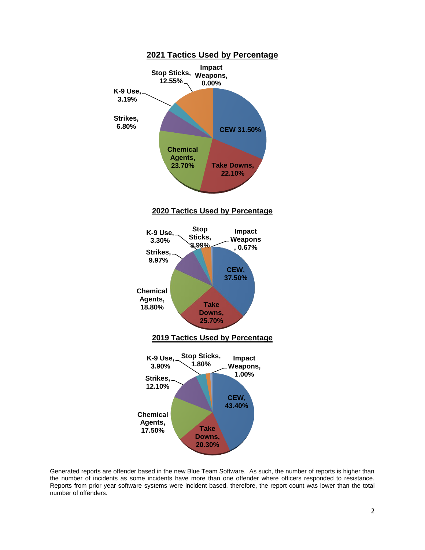

Generated reports are offender based in the new Blue Team Software. As such, the number of reports is higher than the number of incidents as some incidents have more than one offender where officers responded to resistance. Reports from prior year software systems were incident based, therefore, the report count was lower than the total number of offenders.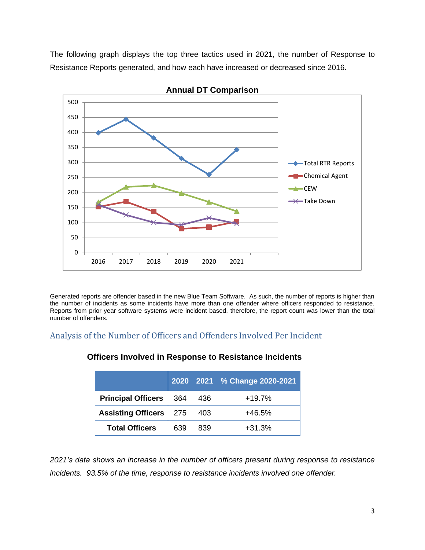The following graph displays the top three tactics used in 2021, the number of Response to Resistance Reports generated, and how each have increased or decreased since 2016.



**Annual DT Comparison**

Generated reports are offender based in the new Blue Team Software. As such, the number of reports is higher than the number of incidents as some incidents have more than one offender where officers responded to resistance. Reports from prior year software systems were incident based, therefore, the report count was lower than the total number of offenders.

#### Analysis of the Number of Officers and Offenders Involved Per Incident

|                               |     |     | 2020 2021 % Change 2020-2021 |
|-------------------------------|-----|-----|------------------------------|
| <b>Principal Officers</b>     | 364 | 436 | $+19.7%$                     |
| <b>Assisting Officers</b> 275 |     | 403 | $+46.5%$                     |
| <b>Total Officers</b>         | 639 | 839 | $+31.3%$                     |

#### **Officers Involved in Response to Resistance Incidents**

*2021's data shows an increase in the number of officers present during response to resistance incidents. 93.5% of the time, response to resistance incidents involved one offender.*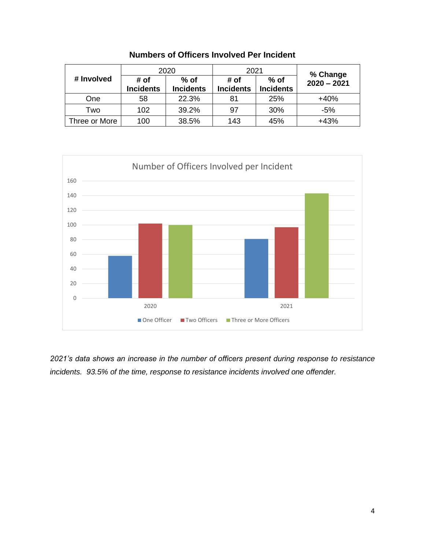|               |                          | 2020                       | 2021                     |                            | % Change      |  |
|---------------|--------------------------|----------------------------|--------------------------|----------------------------|---------------|--|
| # Involved    | # of<br><b>Incidents</b> | $%$ of<br><b>Incidents</b> | # of<br><b>Incidents</b> | $%$ of<br><b>Incidents</b> | $2020 - 2021$ |  |
| One           | 58                       | 22.3%                      | 81                       | 25%                        | $+40%$        |  |
| Two           | 102                      | 39.2%                      | 97                       | 30%                        | $-5%$         |  |
| Three or More | 100                      | 38.5%                      | 143                      | 45%                        | $+43%$        |  |

**Numbers of Officers Involved Per Incident**



*2021's data shows an increase in the number of officers present during response to resistance incidents. 93.5% of the time, response to resistance incidents involved one offender.*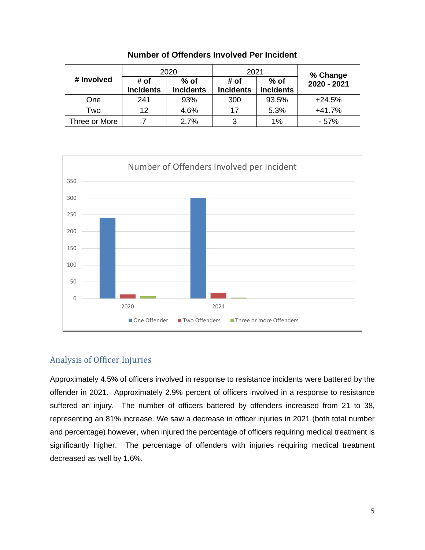|               |                          | 2020                       | 2021                     |                            | % Change    |  |
|---------------|--------------------------|----------------------------|--------------------------|----------------------------|-------------|--|
| # Involved    | # of<br><b>Incidents</b> | $%$ of<br><b>Incidents</b> | # of<br><b>Incidents</b> | $%$ of<br><b>Incidents</b> | 2020 - 2021 |  |
| One           | 241                      | 93%                        | 300                      | 93.5%                      | $+24.5%$    |  |
| Two           | 12                       | 4.6%                       | 17                       | 5.3%                       | $+41.7%$    |  |
| Three or More |                          | 2.7%                       | ર                        | 1%                         | $-57%$      |  |

**Number of Offenders Involved Per Incident** 



#### Analysis of Officer Injuries

Approximately 4.5% of officers involved in response to resistance incidents were battered by the offender in 2021. Approximately 2.9% percent of officers involved in a response to resistance suffered an injury. The number of officers battered by offenders increased from 21 to 38, representing an 81% increase. We saw a decrease in officer injuries in 2021 (both total number and percentage) however, when injured the percentage of officers requiring medical treatment is significantly higher. The percentage of offenders with injuries requiring medical treatment decreased as well by 1.6%.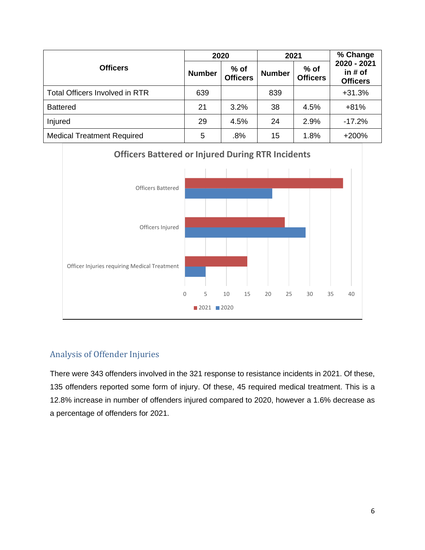|                                       |               | 2020                      | 2021          |                           | % Change                                  |  |
|---------------------------------------|---------------|---------------------------|---------------|---------------------------|-------------------------------------------|--|
| <b>Officers</b>                       | <b>Number</b> | $%$ of<br><b>Officers</b> | <b>Number</b> | $%$ of<br><b>Officers</b> | 2020 - 2021<br>in # of<br><b>Officers</b> |  |
| <b>Total Officers Involved in RTR</b> | 639           |                           | 839           |                           | $+31.3%$                                  |  |
| <b>Battered</b>                       | 21            | 3.2%                      | 38            | 4.5%                      | $+81%$                                    |  |
| Injured                               | 29            | 4.5%                      | 24            | 2.9%                      | $-17.2%$                                  |  |
| <b>Medical Treatment Required</b>     | 5             | .8%                       | 15            | 1.8%                      | $+200%$                                   |  |

## **Officers Battered or Injured During RTR Incidents**



### Analysis of Offender Injuries

There were 343 offenders involved in the 321 response to resistance incidents in 2021. Of these, 135 offenders reported some form of injury. Of these, 45 required medical treatment. This is a 12.8% increase in number of offenders injured compared to 2020, however a 1.6% decrease as a percentage of offenders for 2021.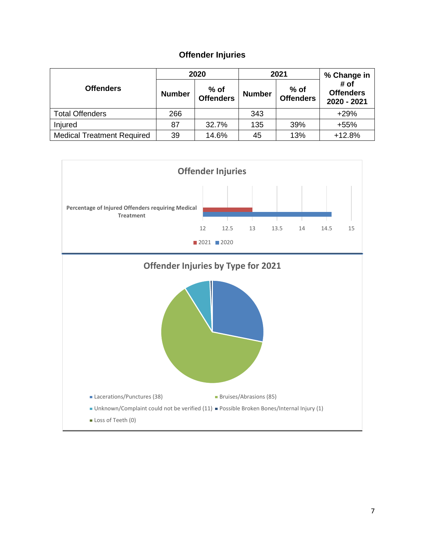## **Offender Injuries**

|                                   |               | 2020                       |               | 2021                       | % Change in                             |
|-----------------------------------|---------------|----------------------------|---------------|----------------------------|-----------------------------------------|
| <b>Offenders</b>                  | <b>Number</b> | $%$ of<br><b>Offenders</b> | <b>Number</b> | $%$ of<br><b>Offenders</b> | # of<br><b>Offenders</b><br>2020 - 2021 |
| <b>Total Offenders</b>            | 266           |                            | 343           |                            | $+29%$                                  |
| Injured                           | 87            | 32.7%                      | 135           | 39%                        | $+55%$                                  |
| <b>Medical Treatment Required</b> | 39            | 14.6%                      | 45            | 13%                        | $+12.8%$                                |

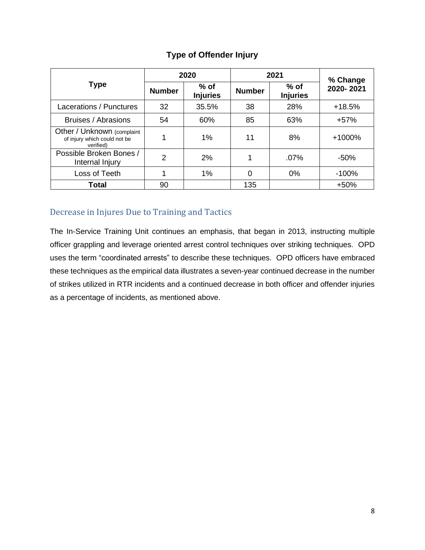|                                                                         |               | 2020                      | 2021          | % Change                  |           |
|-------------------------------------------------------------------------|---------------|---------------------------|---------------|---------------------------|-----------|
| <b>Type</b>                                                             | <b>Number</b> | $%$ of<br><b>Injuries</b> | <b>Number</b> | $%$ of<br><b>Injuries</b> | 2020-2021 |
| Lacerations / Punctures                                                 | 32            | 35.5%                     | 38            | 28%                       | $+18.5%$  |
| Bruises / Abrasions                                                     | 54            | 60%                       | 85            | 63%                       | $+57%$    |
| Other / Unknown (complaint<br>of injury which could not be<br>verified) | 1             | 1%                        | 11            | 8%                        | +1000%    |
| Possible Broken Bones /<br>Internal Injury                              | 2             | 2%                        | 1             | $.07\%$                   | $-50%$    |
| Loss of Teeth                                                           | 1             | 1%                        | 0             | $0\%$                     | $-100%$   |
| Total                                                                   | 90            |                           | 135           |                           | $+50%$    |

#### **Type of Offender Injury**

## Decrease in Injures Due to Training and Tactics

The In-Service Training Unit continues an emphasis, that began in 2013, instructing multiple officer grappling and leverage oriented arrest control techniques over striking techniques. OPD uses the term "coordinated arrests" to describe these techniques. OPD officers have embraced these techniques as the empirical data illustrates a seven-year continued decrease in the number of strikes utilized in RTR incidents and a continued decrease in both officer and offender injuries as a percentage of incidents, as mentioned above.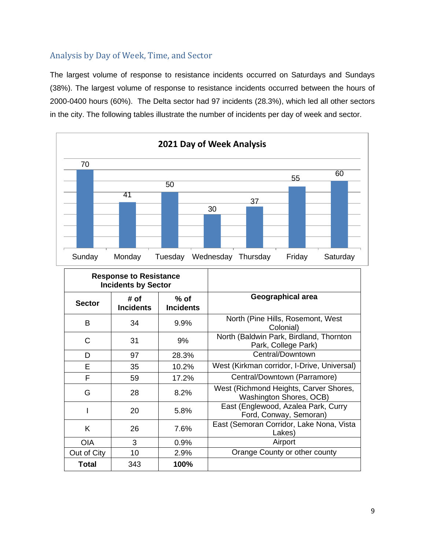### Analysis by Day of Week, Time, and Sector

The largest volume of response to resistance incidents occurred on Saturdays and Sundays (38%). The largest volume of response to resistance incidents occurred between the hours of 2000-0400 hours (60%). The Delta sector had 97 incidents (28.3%), which led all other sectors in the city. The following tables illustrate the number of incidents per day of week and sector.



| <b>Response to Resistance</b><br><b>Incidents by Sector</b> |                          |                            |                                                                   |
|-------------------------------------------------------------|--------------------------|----------------------------|-------------------------------------------------------------------|
| <b>Sector</b>                                               | # of<br><b>Incidents</b> | $%$ of<br><b>Incidents</b> | Geographical area                                                 |
| в                                                           | 34                       | 9.9%                       | North (Pine Hills, Rosemont, West<br>Colonial)                    |
| C                                                           | 31                       | 9%                         | North (Baldwin Park, Birdland, Thornton<br>Park, College Park)    |
| D                                                           | 97                       | 28.3%                      | Central/Downtown                                                  |
| E                                                           | 35                       | 10.2%                      | West (Kirkman corridor, I-Drive, Universal)                       |
| F                                                           | 59                       | 17.2%                      | Central/Downtown (Parramore)                                      |
| G                                                           | 28                       | 8.2%                       | West (Richmond Heights, Carver Shores,<br>Washington Shores, OCB) |
|                                                             | 20                       | 5.8%                       | East (Englewood, Azalea Park, Curry<br>Ford, Conway, Semoran)     |
| K                                                           | 26                       | 7.6%                       | East (Semoran Corridor, Lake Nona, Vista<br>Lakes)                |
| <b>OIA</b>                                                  | 3                        | 0.9%                       | Airport                                                           |
| Out of City                                                 | 10                       | 2.9%                       | Orange County or other county                                     |
| Total                                                       | 343                      | 100%                       |                                                                   |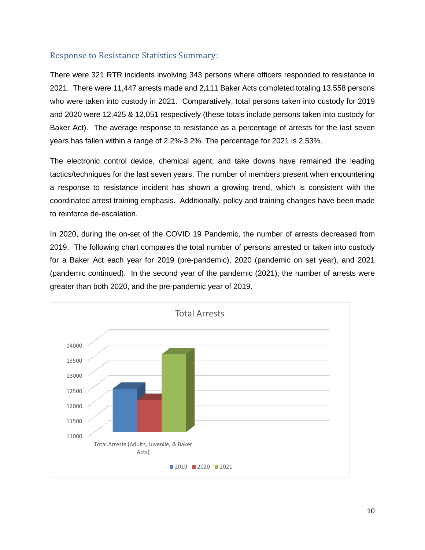#### Response to Resistance Statistics Summary:

There were 321 RTR incidents involving 343 persons where officers responded to resistance in 2021. There were 11,447 arrests made and 2,111 Baker Acts completed totaling 13,558 persons who were taken into custody in 2021. Comparatively, total persons taken into custody for 2019 and 2020 were 12,425 & 12,051 respectively (these totals include persons taken into custody for Baker Act). The average response to resistance as a percentage of arrests for the last seven years has fallen within a range of 2.2%-3.2%. The percentage for 2021 is 2.53%.

The electronic control device, chemical agent, and take downs have remained the leading tactics/techniques for the last seven years. The number of members present when encountering a response to resistance incident has shown a growing trend, which is consistent with the coordinated arrest training emphasis. Additionally, policy and training changes have been made to reinforce de-escalation.

In 2020, during the on-set of the COVID 19 Pandemic, the number of arrests decreased from 2019. The following chart compares the total number of persons arrested or taken into custody for a Baker Act each year for 2019 (pre-pandemic), 2020 (pandemic on set year), and 2021 (pandemic continued). In the second year of the pandemic (2021), the number of arrests were greater than both 2020, and the pre-pandemic year of 2019.